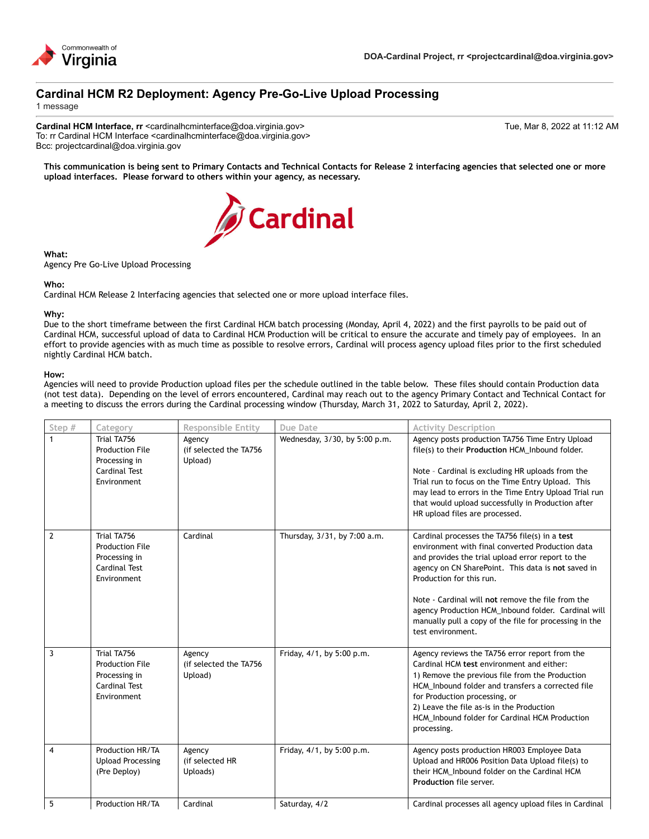

# **Cardinal HCM R2 Deployment: Agency Pre-Go-Live Upload Processing**

1 message

**Cardinal HCM Interface, rr** <cardinalhcminterface@doa.virginia.gov> Tue, Mar 8, 2022 at 11:12 AM To: rr Cardinal HCM Interface <cardinalhcminterface@doa.virginia.gov> Bcc: projectcardinal@doa.virginia.gov

**This communication is being sent to Primary Contacts and Technical Contacts for Release 2 interfacing agencies that selected one or more upload interfaces. Please forward to others within your agency, as necessary.**



#### **What:**

Agency Pre Go-Live Upload Processing

## **Who:**

Cardinal HCM Release 2 Interfacing agencies that selected one or more upload interface files.

## **Why:**

Due to the short timeframe between the first Cardinal HCM batch processing (Monday, April 4, 2022) and the first payrolls to be paid out of Cardinal HCM, successful upload of data to Cardinal HCM Production will be critical to ensure the accurate and timely pay of employees. In an effort to provide agencies with as much time as possible to resolve errors, Cardinal will process agency upload files prior to the first scheduled nightly Cardinal HCM batch.

#### **How:**

Agencies will need to provide Production upload files per the schedule outlined in the table below. These files should contain Production data (not test data). Depending on the level of errors encountered, Cardinal may reach out to the agency Primary Contact and Technical Contact for a meeting to discuss the errors during the Cardinal processing window (Thursday, March 31, 2022 to Saturday, April 2, 2022).

| Step #         | Category                                                                                      | <b>Responsible Entity</b>                   | Due Date                      | <b>Activity Description</b>                                                                                                                                                                                                                                                                                                                                                                                                          |
|----------------|-----------------------------------------------------------------------------------------------|---------------------------------------------|-------------------------------|--------------------------------------------------------------------------------------------------------------------------------------------------------------------------------------------------------------------------------------------------------------------------------------------------------------------------------------------------------------------------------------------------------------------------------------|
| 1              | Trial TA756<br><b>Production File</b><br>Processing in<br>Cardinal Test<br>Environment        | Agency<br>(if selected the TA756<br>Upload) | Wednesday, 3/30, by 5:00 p.m. | Agency posts production TA756 Time Entry Upload<br>file(s) to their Production HCM_Inbound folder.<br>Note - Cardinal is excluding HR uploads from the<br>Trial run to focus on the Time Entry Upload. This<br>may lead to errors in the Time Entry Upload Trial run<br>that would upload successfully in Production after<br>HR upload files are processed.                                                                         |
| $\overline{2}$ | Trial TA756<br><b>Production File</b><br>Processing in<br>Cardinal Test<br>Environment        | Cardinal                                    | Thursday, 3/31, by 7:00 a.m.  | Cardinal processes the TA756 file(s) in a test<br>environment with final converted Production data<br>and provides the trial upload error report to the<br>agency on CN SharePoint. This data is not saved in<br>Production for this run.<br>Note - Cardinal will not remove the file from the<br>agency Production HCM_Inbound folder. Cardinal will<br>manually pull a copy of the file for processing in the<br>test environment. |
| 3              | Trial TA756<br><b>Production File</b><br>Processing in<br><b>Cardinal Test</b><br>Environment | Agency<br>(if selected the TA756<br>Upload) | Friday, 4/1, by 5:00 p.m.     | Agency reviews the TA756 error report from the<br>Cardinal HCM test environment and either:<br>1) Remove the previous file from the Production<br>HCM_Inbound folder and transfers a corrected file<br>for Production processing, or<br>2) Leave the file as-is in the Production<br>HCM Inbound folder for Cardinal HCM Production<br>processing.                                                                                   |
| 4              | Production HR/TA<br><b>Upload Processing</b><br>(Pre Deploy)                                  | Agency<br>(if selected HR<br>Uploads)       | Friday, 4/1, by 5:00 p.m.     | Agency posts production HR003 Employee Data<br>Upload and HR006 Position Data Upload file(s) to<br>their HCM Inbound folder on the Cardinal HCM<br>Production file server.                                                                                                                                                                                                                                                           |
| 5              | Production HR/TA                                                                              | Cardinal                                    | Saturday, 4/2                 | Cardinal processes all agency upload files in Cardinal                                                                                                                                                                                                                                                                                                                                                                               |